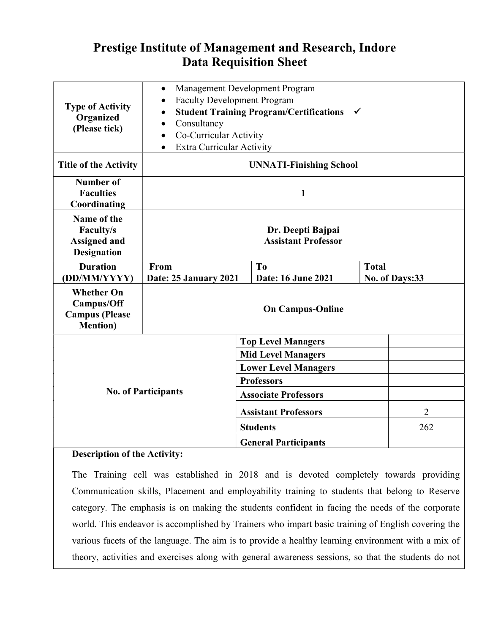## Prestige Institute of Management and Research, Indore Data Requisition Sheet

| <b>Type of Activity</b><br>Organized<br>(Please tick)                        | $\bullet$<br><b>Faculty Development Program</b><br>Consultancy<br>Co-Curricular Activity<br><b>Extra Curricular Activity</b> | Management Development Program<br><b>Student Training Program/Certifications</b>                           | $\checkmark$                   |  |  |  |  |  |
|------------------------------------------------------------------------------|------------------------------------------------------------------------------------------------------------------------------|------------------------------------------------------------------------------------------------------------|--------------------------------|--|--|--|--|--|
| <b>Title of the Activity</b>                                                 | <b>UNNATI-Finishing School</b>                                                                                               |                                                                                                            |                                |  |  |  |  |  |
| Number of<br><b>Faculties</b><br>Coordinating                                | 1                                                                                                                            |                                                                                                            |                                |  |  |  |  |  |
| Name of the<br>Faculty/s<br><b>Assigned and</b><br><b>Designation</b>        | Dr. Deepti Bajpai<br><b>Assistant Professor</b>                                                                              |                                                                                                            |                                |  |  |  |  |  |
| <b>Duration</b><br>(DD/MM/YYYY)                                              | From<br>Date: 25 January 2021                                                                                                | T <sub>0</sub><br>Date: 16 June 2021                                                                       | <b>Total</b><br>No. of Days:33 |  |  |  |  |  |
| <b>Whether On</b><br>Campus/Off<br><b>Campus</b> (Please<br><b>Mention</b> ) | <b>On Campus-Online</b>                                                                                                      |                                                                                                            |                                |  |  |  |  |  |
|                                                                              |                                                                                                                              | <b>Top Level Managers</b>                                                                                  |                                |  |  |  |  |  |
|                                                                              |                                                                                                                              | <b>Mid Level Managers</b>                                                                                  |                                |  |  |  |  |  |
|                                                                              |                                                                                                                              | <b>Lower Level Managers</b><br><b>Professors</b>                                                           |                                |  |  |  |  |  |
|                                                                              |                                                                                                                              |                                                                                                            |                                |  |  |  |  |  |
|                                                                              |                                                                                                                              | <b>No. of Participants</b><br><b>Associate Professors</b><br>$\overline{2}$<br><b>Assistant Professors</b> |                                |  |  |  |  |  |
|                                                                              |                                                                                                                              |                                                                                                            |                                |  |  |  |  |  |
|                                                                              |                                                                                                                              | <b>Students</b>                                                                                            | 262                            |  |  |  |  |  |
|                                                                              |                                                                                                                              | <b>General Participants</b>                                                                                |                                |  |  |  |  |  |

## Description of the Activity:

The Training cell was established in 2018 and is devoted completely towards providing Communication skills, Placement and employability training to students that belong to Reserve category. The emphasis is on making the students confident in facing the needs of the corporate world. This endeavor is accomplished by Trainers who impart basic training of English covering the various facets of the language. The aim is to provide a healthy learning environment with a mix of theory, activities and exercises along with general awareness sessions, so that the students do not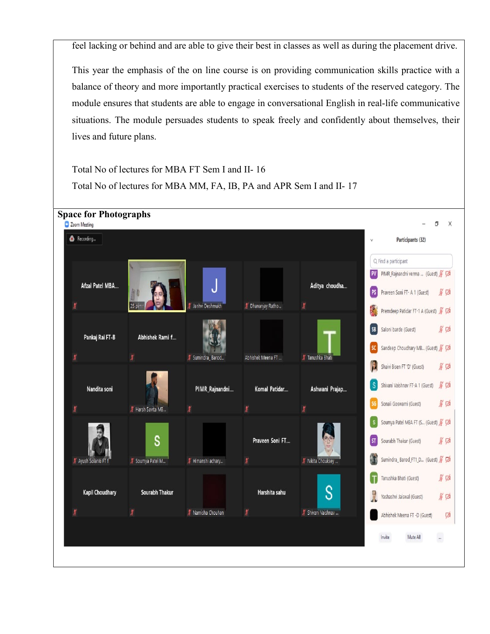feel lacking or behind and are able to give their best in classes as well as during the placement drive.

This year the emphasis of the on line course is on providing communication skills practice with a balance of theory and more importantly practical exercises to students of the reserved category. The module ensures that students are able to engage in conversational English in real-life communicative situations. The module persuades students to speak freely and confidently about themselves, their lives and future plans.

Total No of lectures for MBA FT Sem I and II- 16 Total No of lectures for MBA MM, FA, IB, PA and APR Sem I and II- 17